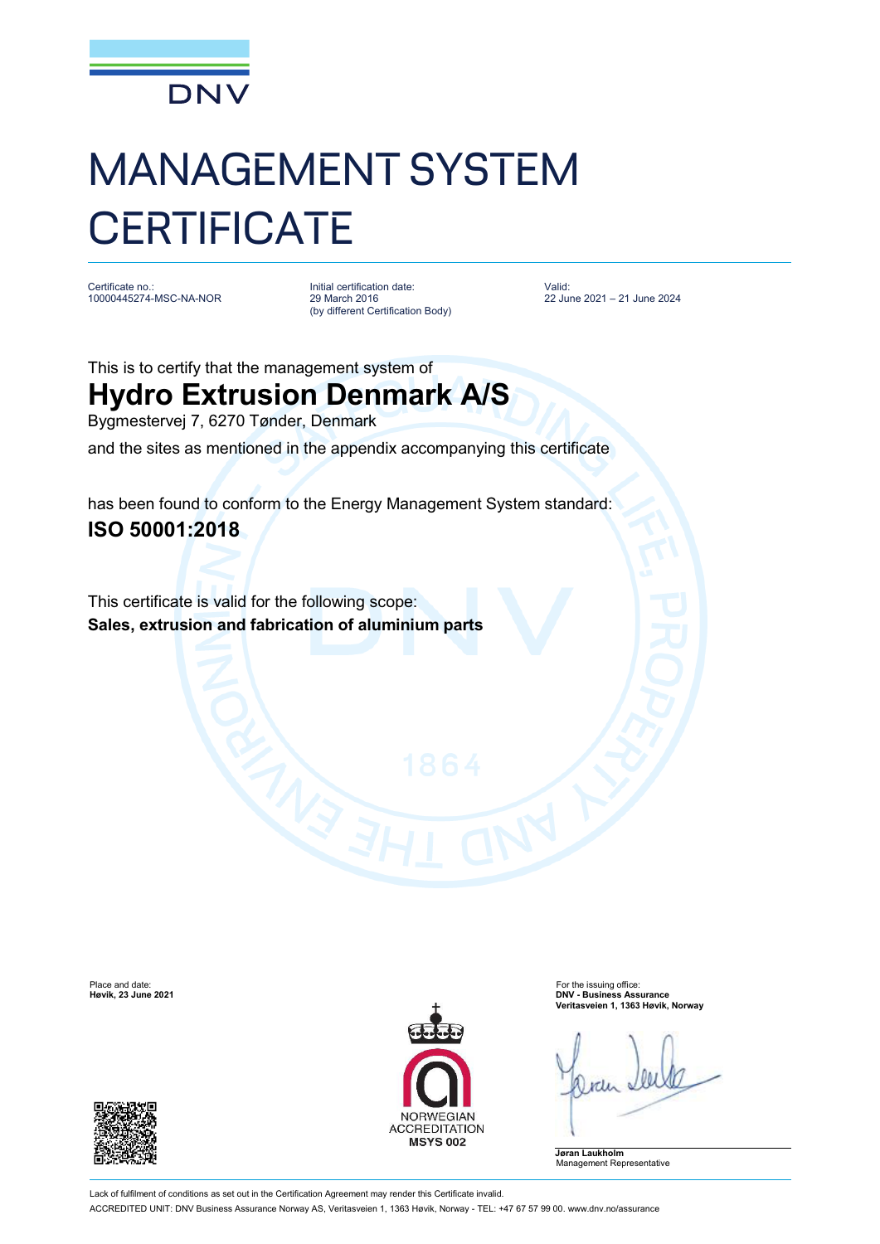

## MANAGEMENT SYSTEM **CERTIFICATE**

Certificate no.: 10000445274-MSC-NA-NOR

Initial certification date: 29 March 2016 (by different Certification Body) Valid: 22 June 2021 – 21 June 2024

This is to certify that the management system of

## **Hydro Extrusion Denmark A/S**

Bygmestervej 7, 6270 Tønder, Denmark

and the sites as mentioned in the appendix accompanying this certificate

has been found to conform to the Energy Management System standard: **ISO 50001:2018**

This certificate is valid for the following scope: **Sales, extrusion and fabrication of aluminium parts**





Place and date: For the issuing office: **Høvik, 23 June 2021 DNV - Business Assurance Veritasveien 1, 1363 Høvik, Norway**

**Jøran Laukholm** Management Representative

Lack of fulfilment of conditions as set out in the Certification Agreement may render this Certificate invalid. ACCREDITED UNIT: DNV Business Assurance Norway AS, Veritasveien 1, 1363 Høvik, Norway - TEL: +47 67 57 99 00. [www.dnv.no/assurance](http://www.dnv.no/assurance)